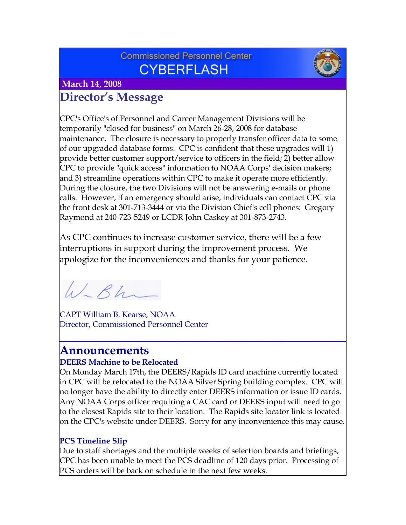## **Commissioned Personnel Center CYBERFLASH**



 **March 14, 2008**

# **Director's Message**

CPC's Office's of Personnel and Career Management Divisions will be temporarily "closed for business" on March 26-28, 2008 for database maintenance. The closure is necessary to properly transfer officer data to some of our upgraded database forms. CPC is confident that these upgrades will 1) provide better customer support/service to officers in the field; 2) better allow CPC to provide "quick access" information to NOAA Corps' decision makers; and 3) streamline operations within CPC to make it operate more efficiently. During the closure, the two Divisions will not be answering e-mails or phone calls. However, if an emergency should arise, individuals can contact CPC via the front desk at 301-713-3444 or via the Division Chief's cell phones: Gregory Raymond at 240-723-5249 or LCDR John Caskey at 301-873-2743.

As CPC continues to increase customer service, there will be a few interruptions in support during the improvement process. We apologize for the inconveniences and thanks for your patience.

W-Bh

CAPT William B. Kearse, NOAA Director, Commissioned Personnel Center

# **Announcements**

#### **DEERS Machine to be Relocated**

On Monday March 17th, the DEERS/Rapids ID card machine currently located in CPC will be relocated to the NOAA Silver Spring building complex. CPC will no longer have the ability to directly enter DEERS information or issue ID cards. Any NOAA Corps officer requiring a CAC card or DEERS input will need to go to the closest Rapids site to their location. The Rapids site locator link is located on the CPC's website under DEERS. Sorry for any inconvenience this may cause.

**\_\_\_\_\_\_\_\_\_\_\_\_\_\_\_\_\_\_\_\_\_\_\_\_\_\_\_\_\_\_\_\_\_\_\_\_\_\_\_\_\_\_\_\_\_\_\_\_**

### **PCS Timeline Slip**

Due to staff shortages and the multiple weeks of selection boards and briefings, CPC has been unable to meet the PCS deadline of 120 days prior. Processing of PCS orders will be back on schedule in the next few weeks.